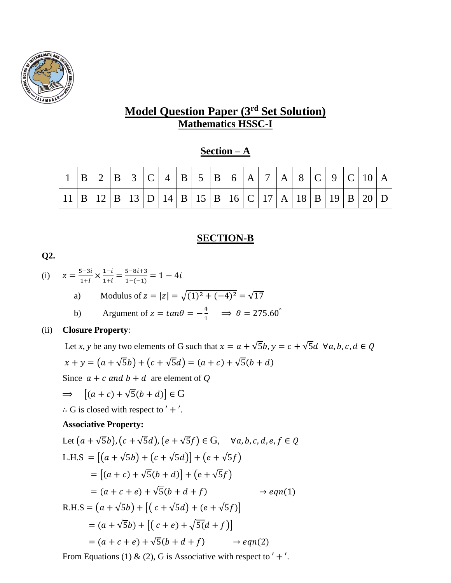

## **Model Question Paper (3 rd Set Solution) Mathematics HSSC-I**

### **Section – A**

|  |  | $ B $ 2 $ B $ 3 $ C $ 4 $ B $ 5 $ B $ 6 $ A $ 7 $ A $ 8 $ C $ 9 $ C $ 10 $ A $                                                                                                                            |  |  |  |  |  |  |  |  |
|--|--|-----------------------------------------------------------------------------------------------------------------------------------------------------------------------------------------------------------|--|--|--|--|--|--|--|--|
|  |  | $\left  11 \right  B \left  12 \right  B \left  13 \right  D \left  14 \right  B \left  15 \right  B \left  16 \right  C \left  17 \right  A \left  18 \right  B \left  19 \right  B \left  20 \right  D$ |  |  |  |  |  |  |  |  |

### **SECTION-B**

**Q2.**

(i) 
$$
z = \frac{5-3i}{1+i} \times \frac{1-i}{1+i} = \frac{5-8i+3}{1-(-1)} = 1 - 4i
$$

a) Modulus of 
$$
z = |z| = \sqrt{(1)^2 + (-4)^2} = \sqrt{17}
$$

b) Argument of 
$$
z = \tan \theta = -\frac{4}{1} \implies \theta = 275.60^{\circ}
$$

#### (ii) **Closure Property**:

Let *x*, *y* be any two elements of G such that  $x = a + \sqrt{5}b$ ,  $y = c + \sqrt{5}d \forall a, b, c, d \in Q$  $x + y = (a + \sqrt{5}b) + (c + \sqrt{5}d) = (a + c) + \sqrt{5}(b + d)$ 

Since  $a + c$  and  $b + d$  are element of Q

$$
\Rightarrow [(a+c)+\sqrt{5}(b+d)] \in G
$$

∴ G is closed with respect to  $'$  +  $'$ .

#### **Associative Property:**

Let 
$$
(a + \sqrt{5}b)
$$
,  $(c + \sqrt{5}d)$ ,  $(e + \sqrt{5}f) \in G$ ,  $\forall a, b, c, d, e, f \in Q$   
\nL.H.S =  $[(a + \sqrt{5}b) + (c + \sqrt{5}d)] + (e + \sqrt{5}f)$   
\n=  $[(a + c) + \sqrt{5}(b + d)] + (e + \sqrt{5}f)$   
\n=  $(a + c + e) + \sqrt{5}(b + d + f)$   $\rightarrow eqn(1)$   
\nR.H.S =  $(a + \sqrt{5}b) + [(c + \sqrt{5}d) + (e + \sqrt{5}f)]$   
\n=  $(a + \sqrt{5}b) + [(c + e) + \sqrt{5}(d + f)]$   
\n=  $(a + c + e) + \sqrt{5}(b + d + f)$   $\rightarrow eqn(2)$ 

From Equations (1) & (2), G is Associative with respect to  $' + '$ .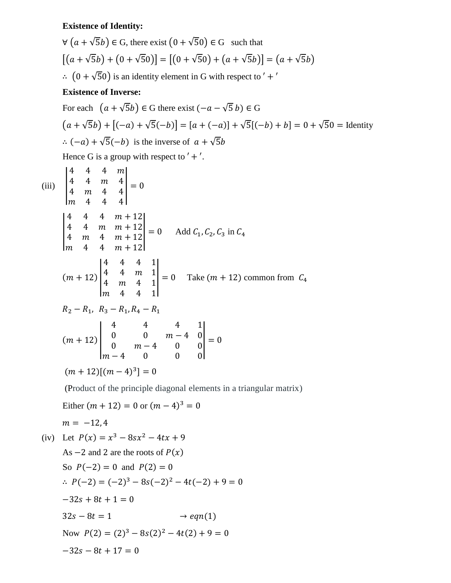# **Existence of Identity:**

$$
\forall (a + \sqrt{5}b) \in G, \text{ there exist } (0 + \sqrt{5}0) \in G \text{ such that}
$$

$$
[(a + \sqrt{5}b) + (0 + \sqrt{5}0)] = [(0 + \sqrt{5}0) + (a + \sqrt{5}b)] = (a + \sqrt{5}b)
$$

$$
\therefore (0 + \sqrt{5}0) \text{ is an identity element in } G \text{ with respect to } ' + '
$$
  
Existence of Inverse:  
For each  $(a + \sqrt{5}b) \in G$  there exist  $(-a - \sqrt{5}b) \in G$ 

$$
(a + \sqrt{5}b) + [(-a) + \sqrt{5}(-b)] = [a + (-a)] + \sqrt{5}[(-b) + b] = 0 + \sqrt{5}0 =
$$
Identity  
 
$$
\therefore (-a) + \sqrt{5}(-b)
$$
 is the inverse of  $a + \sqrt{5}b$   
Hence G is a group with respect to ' +'.

(iii) 
$$
\begin{vmatrix} 4 & 4 & 4 & m \\ 4 & 4 & m & 4 \\ m & 4 & 4 & 4 \end{vmatrix} = 0
$$
  
\n
$$
\begin{vmatrix} 4 & 4 & 4 & m + 12 \\ 4 & 4 & m & m + 12 \\ m & 4 & 4 & m + 12 \end{vmatrix} = 0
$$
 Add  $C_1$ ,  $C_2$ ,  $C_3$  in  $C_4$   
\n
$$
\begin{vmatrix} 4 & 4 & m & m + 12 \\ m & 4 & 4 & m & 1 \\ m & 4 & 4 & 1 \end{vmatrix} = 0
$$
 Take  $(m + 12)$  common from  $C_4$   
\n $R_2 - R_1$ ,  $R_3 - R_1$ ,  $R_4 - R_1$   
\n
$$
(m + 12) \begin{vmatrix} 4 & 4 & 4 & 1 \\ 0 & 0 & m - 4 & 0 \\ 0 & m - 4 & 0 & 0 \end{vmatrix} = 0
$$
  
\n
$$
(m + 12)[(m - 4)^3] = 0
$$
  
\n
$$
(Product of the principle diagonal elements in a triangular matrix)
$$
  
\nEither  $(m + 12) = 0$  or  $(m - 4)^3 = 0$   
\n $m = -12$ , 4  
\n(iv) Let  $P(x) = x^3 - 8sx^2 - 4tx + 9$   
\nAs  $-2$  and 2 are the roots of  $P(x)$   
\nSo  $P(-2) = 0$  and  $P(2) = 0$   
\n $\therefore P(-2) = (-2)^3 - 8s(-2)^2 - 4t(-2) + 9 = 0$ 

 $-32s + 8t + 1 = 0$ 

$$
32s - 8t = 1 \qquad \qquad \rightarrow eqn(1)
$$

Now 
$$
P(2) = (2)^3 - 8s(2)^2 - 4t(2) + 9 = 0
$$

 $-32s - 8t + 17 = 0$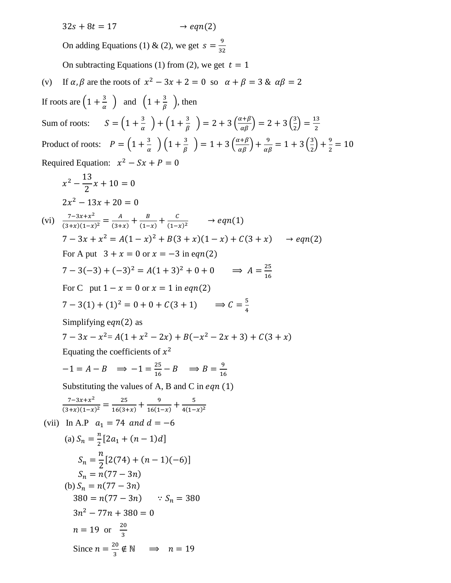$32s + 8t = 17$   $\rightarrow eqn(2)$ On adding Equations (1) & (2), we get  $s = \frac{9}{25}$ 32 On subtracting Equations (1) from (2), we get  $t = 1$ (v) If  $\alpha$ ,  $\beta$  are the roots of  $x^2 - 3x + 2 = 0$  so  $\alpha + \beta = 3$  &  $\alpha\beta = 2$ If roots are  $\left(1+\frac{3}{2}\right)$  $\frac{3}{\alpha}$ ) and  $\left(1+\frac{3}{\beta}\right)$  $\frac{3}{\beta}$ , then Sum of roots:  $S = \left(1 + \frac{3}{s}\right)$  $\frac{3}{\alpha}$  ) +  $\left(1+\frac{3}{\beta}\right)$  $\left(\frac{3}{\beta}\right) = 2 + 3\left(\frac{\alpha+\beta}{\alpha\beta}\right) = 2 + 3\left(\frac{3}{2}\right)$  $\frac{3}{2}$  =  $\frac{13}{2}$ 2 Product of roots:  $P = \left(1 + \frac{3}{a}\right)$  $\frac{3}{\alpha}$  )  $\left(1+\frac{3}{\beta}\right)$  $\left(\frac{3}{\beta}\right)$  = 1 + 3  $\left(\frac{\alpha+\beta}{\alpha\beta}\right)$  +  $\frac{9}{\alpha\beta}$  = 1 + 3  $\left(\frac{3}{2}\right)$  $(\frac{3}{2}) + \frac{9}{2}$  $\frac{5}{2}$  = 10 Required Equation:  $x^2 - Sx + P = 0$  $x^2 - \frac{13}{2}$ 2  $x + 10 = 0$  $2x^2 - 13x + 20 = 0$ (vi)  $\frac{7-3x+x^2}{(3+x)(1-x)^2} = \frac{A}{(3+x)^2}$  $\frac{A}{(3+x)} + \frac{B}{(1-x)}$  $\frac{B}{(1-x)} + \frac{C}{(1-x)}$  $\frac{c}{(1-x)^2}$   $\rightarrow eqn(1)$  $7-3x + x^2 = A(1-x)^2 + B(3+x)(1-x) + C(3+x) \rightarrow eqn(2)$ For A put  $3 + x = 0$  or  $x = -3$  in eqn(2)  $7-3(-3) + (-3)^2 = A(1+3)^2 + 0 + 0 \implies A = \frac{25}{16}$ 16 For C put  $1 - x = 0$  or  $x = 1$  in eqn(2)  $7-3(1)+(1)^2=0+0+C(3+1) \Rightarrow C=\frac{5}{4}$ 4 Simplifying eqn(2) as  $7-3x-x^2 = A(1+x^2-2x) + B(-x^2-2x+3) + C(3+x)$ Equating the coefficients of  $x^2$  $-1 = A - B \implies -1 = \frac{25}{16}$  $\frac{25}{16} - B \implies B = \frac{9}{16}$ 16 Substituting the values of A, B and C in  $eqn(1)$  $\frac{7-3x+x^2}{(3+x)(1-x)^2} = \frac{25}{16(3+x)}$  $\frac{25}{16(3+x)} + \frac{9}{16(1)}$  $\frac{9}{16(1-x)} + \frac{5}{4(1-x)}$  $4(1-x)^2$ (vii) In A.P  $a_1 = 74$  and  $d = -6$ (a)  $S_n = \frac{n}{2}$  $\frac{n}{2}[2a_1 + (n-1)d]$  $S_n =$  $\boldsymbol{n}$ 2  $[2(74) + (n - 1)(-6)]$  $S_n = n(77 - 3n)$ (b)  $S_n = n(77 - 3n)$  $380 = n(77 - 3n)$   $\therefore S_n = 380$  $3n^2 - 77n + 380 = 0$  $n = 19$  or  $\frac{20}{3}$  $rac{10}{3}$ 

Since  $n = \frac{20}{3}$ 

 $\frac{20}{3} \notin \mathbb{N} \implies n = 19$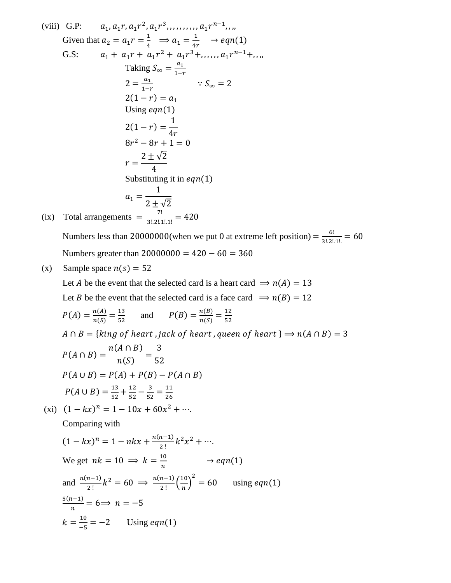(viii) G.P: 
$$
a_1, a_1r, a_1r^2, a_1r^3, ..., a_1r^{n-1}, ...,
$$
  
\nGiven that  $a_2 = a_1r = \frac{1}{4} \Rightarrow a_1 = \frac{1}{4r} \Rightarrow eqn(1)$   
\nG.S:  $a_1 + a_1r + a_1r^2 + a_1r^3 + ..., a_1r^{n-1} + ...,$   
\nTaking  $S_{\infty} = \frac{a_1}{1-r}$   $\therefore S_{\infty} = 2$   
\n $2(1-r) = a_1$   
\nUsing eqn(1)  
\n $2(1-r) = \frac{1}{4r}$   
\n $8r^2 - 8r + 1 = 0$   
\n $r = \frac{2 \pm \sqrt{2}}{4}$   
\nSubstituting it in eqn(1)  
\n $a_1 = \frac{1}{2 \pm \sqrt{2}}$   
\n(ix) Total arrangements =  $\frac{7!}{3!2!1!1!} = 420$ 

Numbers less than 20000000(when we put 0 at extreme left position) =  $\frac{6!}{2!2!}$  $\frac{6!}{3! \cdot 2! \cdot 1!} = 60$ Numbers greater than  $20000000 = 420 - 60 = 360$ 

(x) Sample space  $n(s) = 52$ 

Let *A* be the event that the selected card is a heart card  $\Rightarrow n(A) = 13$ Let *B* be the event that the selected card is a face card  $\Rightarrow$   $n(B) = 12$ 

$$
P(A) = \frac{n(A)}{n(S)} = \frac{13}{52}
$$
 and  $P(B) = \frac{n(B)}{n(S)} = \frac{12}{52}$ 

 $A \cap B = \{king\ of\ heart\ , jack\ of\ heart\ , queen\ of\ heart\ } \Rightarrow n(A \cap B) = 3$ 

$$
P(A \cap B) = \frac{n(A \cap B)}{n(S)} = \frac{3}{52}
$$
  
 
$$
P(A \cup B) = P(A) + P(B) - P(A \cap B)
$$
  
 
$$
P(A \cup B) = \frac{13}{52} + \frac{12}{52} - \frac{3}{52} = \frac{11}{26}
$$

(xi)  $(1 - kx)^n = 1 - 10x + 60x^2 + \cdots$ 

Comparing with

$$
(1 - kx)^n = 1 - nkx + \frac{n(n-1)}{2!}k^2x^2 + \cdots
$$
  
We get  $nk = 10 \implies k = \frac{10}{n} \longrightarrow eqn(1)$   
and  $\frac{n(n-1)}{2!}k^2 = 60 \implies \frac{n(n-1)}{2!}(\frac{10}{n})^2 = 60$  using eqn(1)  
 $\frac{5(n-1)}{n} = 6 \implies n = -5$   
 $k = \frac{10}{-5} = -2$  Using eqn(1)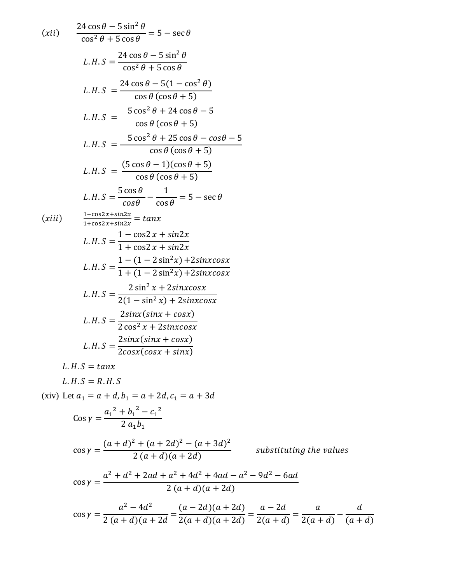$$
(xii) \quad \frac{24 \cos \theta - 5 \sin^2 \theta}{\cos^2 \theta + 5 \cos \theta} = 5 - \sec \theta
$$
\n
$$
L.H.S = \frac{24 \cos \theta - 5 \sin^2 \theta}{\cos^2 \theta + 5 \cos \theta}
$$
\n
$$
L.H.S = \frac{24 \cos \theta - 5(1 - \cos^2 \theta)}{\cos \theta (\cos \theta + 5)}
$$
\n
$$
L.H.S = \frac{5 \cos^2 \theta + 24 \cos \theta - 5}{\cos \theta (\cos \theta + 5)}
$$
\n
$$
L.H.S = \frac{5 \cos^2 \theta + 25 \cos \theta - \cos \theta - 5}{\cos \theta (\cos \theta + 5)}
$$
\n
$$
L.H.S = \frac{(5 \cos \theta - 1)(\cos \theta + 5)}{\cos \theta (\cos \theta + 5)}
$$
\n
$$
L.H.S = \frac{5 \cos \theta}{\cos \theta} - \frac{1}{\cos \theta} = 5 - \sec \theta
$$
\n
$$
(xiii) \quad \frac{1 - \cos 2x + \sin 2x}{1 + \cos 2x + \sin 2x} = \tan x
$$
\n
$$
L.H.S = \frac{1 - (1 - 2 \sin^2 x) + 2 \sin x \cos x}{1 + (1 - 2 \sin^2 x) + 2 \sin x \cos x}
$$
\n
$$
L.H.S = \frac{2 \sin^2 x + 2 \sin x \cos x}{2(1 - \sin^2 x) + 2 \sin x \cos x}
$$
\n
$$
L.H.S = \frac{2 \sin x (\sin x + \cos x)}{2 \cos^2 x + 2 \sin x \cos x}
$$
\n
$$
L.H.S = \frac{2 \sin x (\sin x + \cos x)}{2 \cos x (\cos x + \sin x)}
$$
\n
$$
L.H.S = \tan x
$$
\n
$$
L.H.S = R.H.S
$$

(xiv) Let  $a_1 = a + d$ ,  $b_1 = a + 2d$ ,  $c_1 = a + 3d$ 

$$
\cos \gamma = \frac{a_1^2 + b_1^2 - c_1^2}{2 a_1 b_1}
$$
  
\n
$$
\cos \gamma = \frac{(a+d)^2 + (a+2d)^2 - (a+3d)^2}{2(a+d)(a+2d)}
$$
 substituting the values  
\n
$$
\cos \gamma = \frac{a^2 + d^2 + 2ad + a^2 + 4d^2 + 4ad - a^2 - 9d^2 - 6ad}{2(a+d)(a+2d)}
$$
  
\n
$$
\cos \gamma = \frac{a^2 - 4d^2}{2(a+d)(a+2d)} = \frac{(a-2d)(a+2d)}{2(a+d)(a+2d)} = \frac{a-2d}{2(a+d)} = \frac{a}{2(a+d)} - \frac{d}{(a+d)}
$$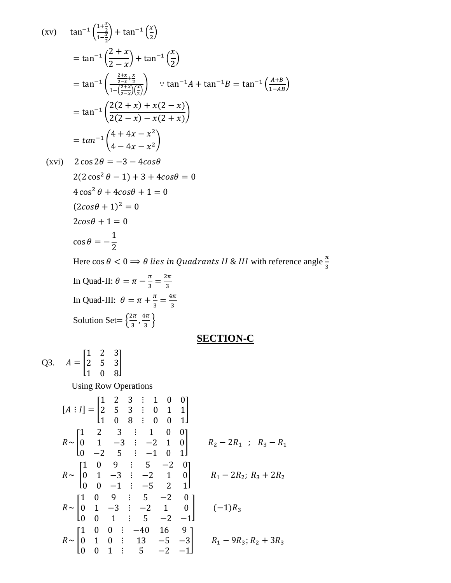$$
\begin{array}{ll}\n\text{(xv)} & \tan^{-1}\left(\frac{1+\frac{x}{2}}{1-\frac{x}{2}}\right) + \tan^{-1}\left(\frac{x}{2}\right) \\
& = \tan^{-1}\left(\frac{2+x}{2-x}\right) + \tan^{-1}\left(\frac{x}{2}\right) \\
& = \tan^{-1}\left(\frac{\frac{2+x}{2-x} + \frac{x}{2}}{1-\left(\frac{2+x}{2-x}\right)\left(\frac{x}{2}\right)}\right) \quad \because \tan^{-1}A + \tan^{-1}B = \tan^{-1}\left(\frac{A+B}{1-AB}\right) \\
& = \tan^{-1}\left(\frac{2(2+x) + x(2-x)}{2(2-x) - x(2+x)}\right) \\
& = \tan^{-1}\left(\frac{4+4x-x^2}{4-4x-x^2}\right) \\
\text{(xvi)} & 2\cos 2\theta = -3 - 4\cos\theta\n\end{array}
$$

 $2(2\cos^2 \theta - 1) + 3 + 4cos\theta = 0$  $4\cos^2\theta + 4\cos\theta + 1 = 0$  $(2cos\theta + 1)^2 = 0$  $2cos\theta + 1 = 0$  $\cos \theta = -$ 1 2

Here  $\cos\theta < 0 \Longrightarrow \theta$  lies in Quadrants II & III with reference angle  $\frac{\pi}{3}$ 

In Quad-II: 
$$
\theta = \pi - \frac{\pi}{3} = \frac{2\pi}{3}
$$
  
In Quad-III:  $\theta = \pi + \frac{\pi}{3} = \frac{4\pi}{3}$   
Solution Set =  $\left\{\frac{2\pi}{3}, \frac{4\pi}{3}\right\}$ 

## **SECTION-C**

Q3. 
$$
A = \begin{bmatrix} 1 & 2 & 3 \\ 2 & 5 & 3 \\ 1 & 0 & 8 \end{bmatrix}
$$
  
\nUsing Row Operations  
\n
$$
[A : I] = \begin{bmatrix} 1 & 2 & 3 & \vdots & 1 & 0 & 0 \\ 2 & 5 & 3 & \vdots & 0 & 1 & 1 \\ 1 & 0 & 8 & \vdots & 0 & 0 & 1 \end{bmatrix}
$$
\n
$$
R \sim \begin{bmatrix} 1 & 2 & 3 & \vdots & 1 & 0 & 0 \\ 0 & 1 & -3 & \vdots & -2 & 1 & 0 \\ 0 & -2 & 5 & \vdots & -1 & 0 & 1 \end{bmatrix}
$$
\n
$$
R \sim \begin{bmatrix} 1 & 0 & 9 & \vdots & 5 & -2 & 0 \\ 0 & 1 & -3 & \vdots & -2 & 1 & 0 \\ 0 & 0 & -1 & \vdots & -5 & 2 & 1 \end{bmatrix}
$$
\n
$$
R \sim \begin{bmatrix} 1 & 0 & 9 & \vdots & 5 & -2 & 0 \\ 0 & 1 & -3 & \vdots & -2 & 1 & 0 \\ 0 & 0 & 1 & \vdots & 5 & -2 & -1 \end{bmatrix}
$$
\n
$$
R \sim \begin{bmatrix} 1 & 0 & 0 & \vdots & -40 & 16 & 9 \\ 0 & 1 & 0 & \vdots & 13 & -5 & -3 \\ 0 & 0 & 1 & \vdots & 5 & -2 & -1 \end{bmatrix}
$$
\n
$$
R_1 - 9R_3; R_2 + 3R_3
$$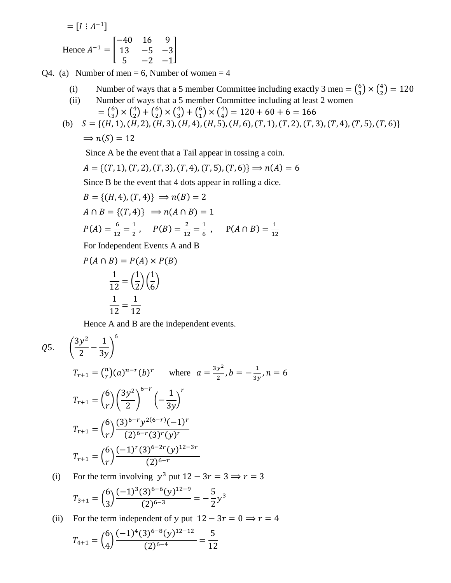$$
= [I : A^{-1}]
$$
  
Hence  $A^{-1} = \begin{bmatrix} -40 & 16 & 9 \\ 13 & -5 & -3 \\ 5 & -2 & -1 \end{bmatrix}$ 

Q4. (a) Number of men  $= 6$ , Number of women  $= 4$ 

- (i) Number of ways that a 5 member Committee including exactly 3 men =  $\binom{6}{3}$  $\binom{6}{3} \times \binom{4}{2}$  $_{2}^{4}) = 120$
- (ii) Number of ways that a 5 member Committee including at least 2 women  $=$   $\binom{6}{3}$  $\binom{6}{3} \times \binom{4}{2}$  $\binom{4}{2} + \binom{6}{2}$  $_{2}^{6}) \times \binom{4}{3}$  $\binom{4}{3} + \binom{6}{1}$  $\binom{6}{1} \times \binom{4}{4}$  $_{4}^{4}$ ) = 120 + 60 + 6 = 166
- (b)  $S = \{(H, 1), (H, 2), (H, 3), (H, 4), (H, 5), (H, 6), (T, 1), (T, 2), (T, 3), (T, 4), (T, 5), (T, 6)\}\$  $\Rightarrow$   $n(S) = 12$

Since A be the event that a Tail appear in tossing a coin.

$$
A = \{(T, 1), (T, 2), (T, 3), (T, 4), (T, 5), (T, 6)\} \Rightarrow n(A) = 6
$$

Since B be the event that 4 dots appear in rolling a dice.

$$
B = \{(H, 4), (T, 4)\} \implies n(B) = 2
$$
  
\n
$$
A \cap B = \{(T, 4)\} \implies n(A \cap B) = 1
$$
  
\n
$$
P(A) = \frac{6}{12} = \frac{1}{2}, \quad P(B) = \frac{2}{12} = \frac{1}{6}, \quad P(A \cap B) = \frac{1}{12}
$$

For Independent Events A and B

$$
P(A \cap B) = P(A) \times P(B)
$$

$$
\frac{1}{12} = \left(\frac{1}{2}\right)\left(\frac{1}{6}\right)
$$

$$
\frac{1}{12} = \frac{1}{12}
$$

Hence A and B are the independent events.

$$
Q5. \quad \left(\frac{3y^2}{2} - \frac{1}{3y}\right)^6
$$
\n
$$
T_{r+1} = {n \choose r} (a)^{n-r} (b)^r \quad \text{where} \quad a = \frac{3y^2}{2}, b = -\frac{1}{3y}, n = 6
$$
\n
$$
T_{r+1} = {6 \choose r} \left(\frac{3y^2}{2}\right)^{6-r} \left(-\frac{1}{3y}\right)^r
$$
\n
$$
T_{r+1} = {6 \choose r} \frac{(3)^{6-r} y^{2(6-r)} (-1)^r}{(2)^{6-r} (3)^r (y)^r}
$$
\n
$$
T_{r+1} = {6 \choose r} \frac{(-1)^r (3)^{6-2r} (y)^{12-3r}}{(2)^{6-r}}
$$

(i) For the term involving  $y^3$  put  $12 - 3r = 3 \implies r = 3$ 

$$
T_{3+1} = {6 \choose 3} \frac{(-1)^3 (3)^{6-6} (y)^{12-9}}{(2)^{6-3}} = -\frac{5}{2} y^3
$$

(ii) For the term independent of y put  $12 - 3r = 0 \implies r = 4$ 

$$
T_{4+1} = {6 \choose 4} \frac{(-1)^4 (3)^{6-8} (y)^{12-12}}{(2)^{6-4}} = \frac{5}{12}
$$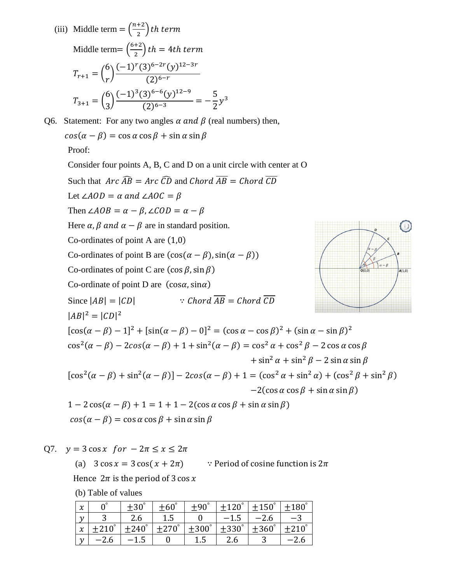(iii) Middle term =  $\left(\frac{n+2}{2}\right)$  $\frac{1}{2}$ ) th term Middle term=  $\left(\frac{6+2}{2}\right)$  $\left(\frac{1}{2}\right)$  th = 4th term  $T_{r+1} = ($ 6 r )  $(-1)^r (3)^{6-2r} (y)^{12-3r}$  $(2)^{6-r}$  $T_{3+1} = ($ 6 3 )  $(-1)^3(3)^{6-6}(y)^{12-9}$  $\frac{1}{(2)^{6-3}} = -$ 5 2  $y^3$ 

Q6. Statement: For any two angles  $\alpha$  and  $\beta$  (real numbers) then,  $cos(\alpha - \beta) = cos \alpha cos \beta + sin \alpha sin \beta$ 

Proof:

Consider four points A, B, C and D on a unit circle with center at O Such that  $Arc\widehat{AB} = Arc\widehat{CD}$  and  $Chord\overline{AB} = Chord\overline{CD}$ Let ∠ $AOD = \alpha$  and ∠ $AOC = \beta$ Then  $\angle AOB = \alpha - \beta$ ,  $\angle COD = \alpha - \beta$ Here  $\alpha$ ,  $\beta$  and  $\alpha - \beta$  are in standard position. Co-ordinates of point A are  $(1,0)$ Co-ordinates of point B are  $(\cos(\alpha - \beta), \sin(\alpha - \beta))$ Co-ordinates of point C are  $(\cos \beta, \sin \beta)$ Co-ordinate of point D are  $(\cos \alpha, \sin \alpha)$ Since  $|AB| = |CD|$  : Chord  $\overline{AB} = Chord \overline{CD}$  $|AB|^2 = |CD|^2$  $[\cos(\alpha - \beta) - 1]^2 + [\sin(\alpha - \beta) - 0]^2 = (\cos \alpha - \cos \beta)^2 + (\sin \alpha - \sin \beta)^2$  $\cos^2(\alpha - \beta) - 2\cos(\alpha - \beta) + 1 + \sin^2(\alpha - \beta) = \cos^2 \alpha + \cos^2 \beta - 2\cos \alpha \cos \beta$  $+\sin^2\alpha + \sin^2\beta - 2\sin\alpha\sin\beta$  $\left[\cos^2(\alpha - \beta) + \sin^2(\alpha - \beta)\right] - 2\cos(\alpha - \beta) + 1 = (\cos^2 \alpha + \sin^2 \alpha) + (\cos^2 \beta + \sin^2 \beta)$  $-2(\cos \alpha \cos \beta + \sin \alpha \sin \beta)$  $1 - 2\cos(\alpha - \beta) + 1 = 1 + 1 - 2(\cos\alpha\cos\beta + \sin\alpha\sin\beta)$  $cos(\alpha - \beta) = cos \alpha cos \beta + sin \alpha sin \beta$ 

 $A(1,0)$ 

Q7.  $y = 3 \cos x$  for  $-2\pi \le x \le 2\pi$ 

(a)  $3 \cos x = 3 \cos(x + 2\pi)$  : Period of cosine function is  $2\pi$ 

Hence  $2\pi$  is the period of 3 cos x

(b) Table of values

| $\boldsymbol{\chi}$ |                 |                 | $\pm 60^\circ$  | $+90^\circ$      | $\pm 120^\circ$ | ±150            | $+180$ |
|---------------------|-----------------|-----------------|-----------------|------------------|-----------------|-----------------|--------|
|                     |                 | 2.6             | 1.5             | $\overline{0}$   | $-1.5$          | $-2.6$          | $-3$   |
| x                   | $\pm 210^\circ$ | $\pm 240^\circ$ | $\pm 270^\circ$ | $\pm 300\degree$ | $\pm 330^\circ$ | $\pm 360^\circ$ | +210   |
|                     | $-2.6$          | $-1.5$          |                 | 1.5              | 2.6             |                 |        |